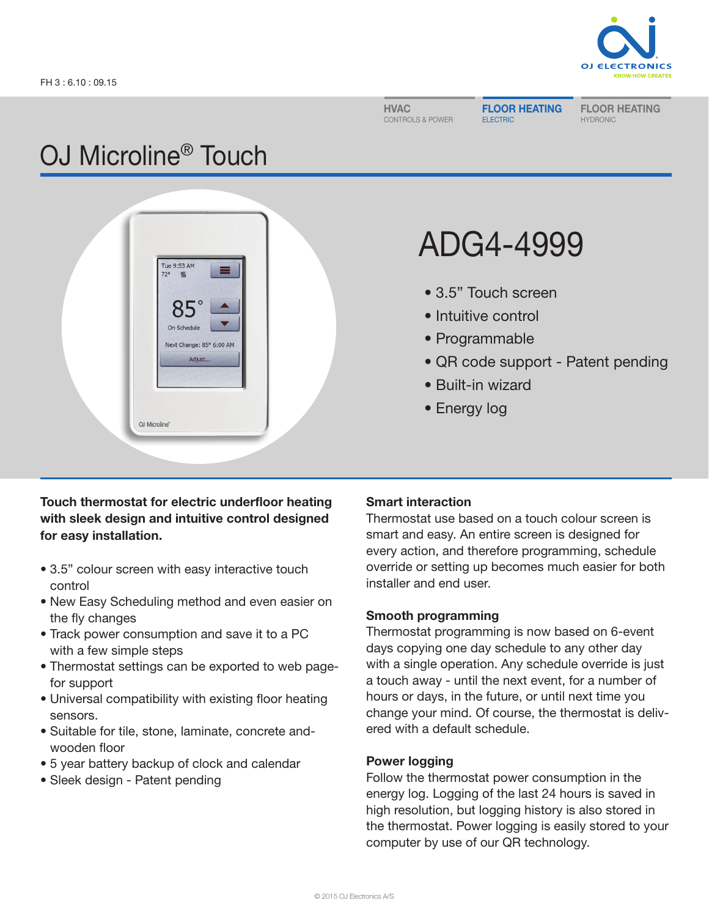

HVAC CONTROLS & POWER FLOOR HEATING ELECTRIC

FLOOR HEATING HYDRONIC

## OJ Microline® Touch



# ADG4-4999

- 3.5" Touch screen
- Intuitive control
- Programmable
- QR code support Patent pending
- Built-in wizard
- Energy log

## Touch thermostat for electric underfloor heating with sleek design and intuitive control designed for easy installation.

- 3.5" colour screen with easy interactive touch control
- New Easy Scheduling method and even easier on the fly changes
- Track power consumption and save it to a PC with a few simple steps
- Thermostat settings can be exported to web pagefor support
- Universal compatibility with existing floor heating sensors.
- Suitable for tile, stone, laminate, concrete andwooden floor
- 5 year battery backup of clock and calendar
- Sleek design Patent pending

## Smart interaction

Thermostat use based on a touch colour screen is smart and easy. An entire screen is designed for every action, and therefore programming, schedule override or setting up becomes much easier for both installer and end user.

## Smooth programming

Thermostat programming is now based on 6-event days copying one day schedule to any other day with a single operation. Any schedule override is just a touch away - until the next event, for a number of hours or days, in the future, or until next time you change your mind. Of course, the thermostat is delivered with a default schedule.

## Power logging

Follow the thermostat power consumption in the energy log. Logging of the last 24 hours is saved in high resolution, but logging history is also stored in the thermostat. Power logging is easily stored to your computer by use of our QR technology.